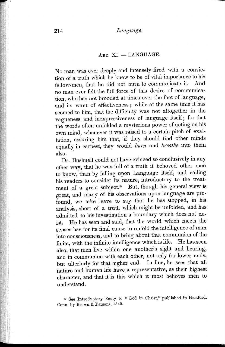## ART. XI. - LANGUAGE.

No man was ever deeply and intensely fired with a conviction of a truth which he knew to be of vital importance to his fellow-men, that he did not burn to communicate it. And no man ever felt the full force of this desire of communication, who has not brooded at times over the fact of language, and its want of effectiveness; while at the same time it has seemed to him, that the difficulty was not altogether in the vagueness and inexpressiveness of language itself; for that the words often unfolded a mysterious power of acting on his own mind, whenever it was raised to a certain pitch of exaltation, assuring him that, if they should find other minds equally in earnest, they would *burn* and *breathe* into them also. '

Dr. Bushnell could not have evinced so conclusively in any other way, that he was full of a truth it behoved other men to know, than by falling upon Language itself, and calling his readers to consider its nature, introductory to the treatment of a great subject.\* But, though his general view is great, and many of his observations upon language are profound, we take leave to say that he has stopped, in his analysis, short of a truth which might be unfolded, and has admitted to his investigation a boundary which does not exist. He has seen and said, that the world which meets the senses has for its final cause to unfold the intelligence of man into consciousness, and to bring about that communion of the finite, with the infinite intelligence which is life. He has seen also, that men live within one another's sight and hearing, and in communion with each other, not only for lower ends, but ulteriorly for that higher end. In fine, he sees that all nature and human life have a representative, as their highest character, and that it is this which it most behoves men to understand.

\* See Introductory Essay to "God in Christ," published in Hartford, Conn. by Brown & Parsons, 1849.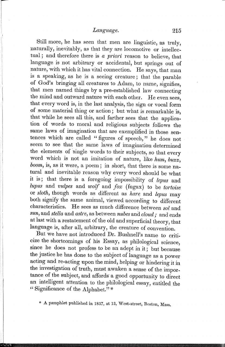Still more, he has seen that men are linguistic, as truly, naturally, inevitably, as that they are locomotive or intellectual; and therefore there is *a priori* reason to believe, that language is not arbitrary or accidental, but springs out of nature, with which it has vital connection. He says, that man is a speaking, as he is a seeing creature; that the parable of God's bringing all creatures to Adam, to name, signifies, that men named things by a pre-established law connecting the mind and outward nature with each other. He even sees, that every word is, in the last analysis, the sign or vocal form of some material thing or action; but what is remarkable is, that while he sees all this, and farther sees that the application of words to moral and religious subjects follows the same laws of imagination that are exemplified in those sentences which are called "figures of speech," he does not seem to see that the same lavvs of imagination determined the elements of single words to their subjects, so that every word which is not an imitation of nature, like *hum, buzz, boom,* is, as it were, a poem; in short, that there is some natural and inevitable reason why every word should be what it is; that there is a foregoing impossibility of *lepus* and *lupus* and *vulpes* and *wolf* and *fox* (fugax) to be *tortoise* or *sloth,* though words as different as *hare* and *lepus* may both signify the same animal, viewed) according to different characteristics. He sees as much difference between *sol* and *sun,* and *stella* and *astre,* as between *nubes* and *cloud;* and ends at last with a restatement of the old and superficial theory, that language is, after all, arbitrary, the creature of convention.

But we have not introduced Dr. Bushnell's name to criticize the shortcomings of his Essay, as philological science, since he does not profess to be an adept in it; but because the justice he has done to the subject of language as a power acting and re-acting upon the mind, helping or hindering it in the investigation of truth, must awaken a sense of the importance of the subject, and affords' a good opportunity to direct an intelligent attention to the philological essay, entitled the " Significance of the Alphabet."\*

\* A pamphlet published in 1837, at 13, West-street, Boston, Mass.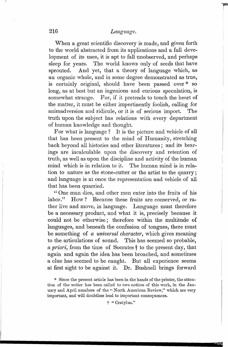When a great scientific discovery is made, and given forth to the world abstracted from its applications and a full development of its uses, it is apt to fall unobserved, and perhaps sleep for years. The world knows only of seeds that have sprouted. And yet, that a theory of language which, as an organic whole, and in some degree demonstrated as true, is certainly original, should have been passed over \* so long, as at best but an ingenious and curious speculation, is somewhat strange. For, if it pretends to touch the heart of the matter, it must be either impertinently foolish, calling for animadversion and ridicule, or it is of serious import. The truth upon the subject has relations with every department of human knowledge and thought.

For what is language? It is the picture and vehicle of all that has been present to the mind of Humanity, stretching back beyond all histories and other literatures; and its bearings are incalculable upon the discovery and retention of truth, as well as upon the discipline and activity of the human mind which is in relation to it. The human mind is in relation to nature as the stone-cutter or the artist to the quarry; and language is at once the representation and vehicle of all that has been quarried.

"One man dies, and other men enter into the fruits of his labor." How? Because these fruits are conserved, or rather live and move, in language. Language must therefore be a necessary product, and what it is, precisely because it could not be otherwise; therefore within the multitude of languages, and beneath the confusion of tongues, there must be something of *a universal character,* which gives meaning to the articulations of sound. This has seemed so probable, *a priori*, from the time of Socrates <sup>†</sup> to the present day, that again and again the idea has been broached, and sometimes a clue has seemed to be caught. But all experience seems at first sight to be against it. Dr. Bushnell brings forward

t "Cratylus."

<sup>\*</sup> Since the present article has been in the hands of the printer, the attention of the writer has been called to two notices of this work, in the January and April numbers of the "North American Review," which are very important, and will doubtless lead to important consequences.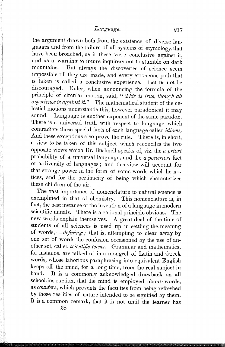r

the argument drawn both from the existence of diverse languages and from the failure of all systems of etymology, that have been broached, as if these were conclusive against it, and as a warning to future inquirers not to stumble on dark mountains. But always the discoveries of science seem impossible till they are made, and every erroneous path that is taken is called a conclusive experience. Let us not be discouraged. Euler, when announcing the formula of the principle of circular motion, said, " *This* is *true, though all experience* is *against it."* The mathematical student of the celestial motions understands this, however paradoxical it may sound. Language is another exponent of the same paradox. There is a universal truth with respect to language which contradicts those special facts of each language called *idioms.*  And these exceptions also prove the rule. There is, in short, a view to be taken of this subject which reconciles the two opposite views w·hich Dr. Bushnell speaks of, viz. the *a priori*  probability of a universal language, and the *a posteriori* fact of a diversity of languages; and this view will account for that strange power in the form of some words which he notices, and for the pertinacity of being which characterizes these children of the air.

The vast 'importance of nomenclature to natural science is exemplified in that of chemistry. This nomenclature is, in fact, the best instance of the invention of a language in modern scientific annals. There is a rational principle obvious. The new words explain themselves. A great deal of the time of students of all sciences is used up in settling the meaning of words, — *defining*; that is, attempting to clear away by one set of words the confusion occasioned by the use of another set, called *scientific terms.* Grammar and mathematics, for instance, are talked of in a mongrel of Latin and Greek words, whose laborious paraphrasing into equivalent English keeps off the mind, for a long time, from the real subject in hand. It is a commonly acknowledged drawback on all school-instruction, that the mind is employed about words, as *counters,* which prevents the faculties from being refreshed by those realities of nature intended to be signified by them. It is a common remark, that it is not until the learner has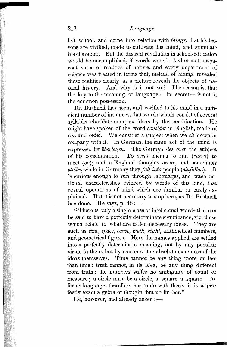left school, and come into relation with *things,* that his lessons are vivified, made to cultivate his mind, and stimulate his character. But the desired revolution in school-education would be accomplished, if words were looked at as transparent vases of realities of nature, and every department of science was treated in terms that, instead of hiding, revealed these realities clearly, as a picture reveals the objects of natural history. And why is it not so? The reason is, that the key to the meaning of language  $-$  its secret  $-$  is not in the common possession.

Dr. Bushnell has seen, and verified to his mind in a sufficient number of instances, that words which consist of several syllables elucidate complex ideas by the combination. He might have spoken of the word *consider* in English, made of *con* and *sedeo.* We consider a subject when we *sit* down in  $company$  with it. In German, the same act of the mind is expressed by *uberlegen.* The German *lies over* the subject of his consideration. To *occur* m~ans to run *(curro)* to meet *(ob);* and in England thoughts *occur,* and sometimes *strike,* while in Germany they *fall into* people *(einfallen).* It is curious enough to run through languages, and trace national characteristics evinced by words of this kind, that reveal operations of mind which are familiar or easily explained. But it is not necessary to stop here, as Dr. Bushnell has done. He says, p.  $48:$  —

" There is only a single class of intellectual words that can be said to have a perfectly determinate significance, viz. those which relate to what are called necessary ideas. They are such as *time, space, cause, truth, right, arithmetical numbers,* and geometrical figures. Here the names applied are settled into a perfectly determinate meaning, not by any peculiar virtue in them, but by reason of the absolute exactness of the ideas themselves. Time cannot be any thing more or less than time; truth cannot, in its idea, be any thing, different from truth; the numbers suffer no ambiguity of count or measure; a circle must be a circle, a square a square. As far as language, therefore, has to do with these, it is a perfectly exact algebra of thought, but no further."

He, however, had already asked :-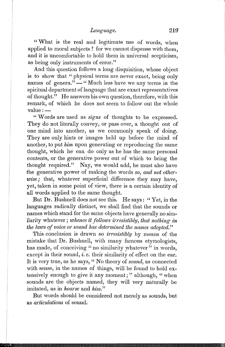"What is the real and legitimate use of words, when applied to moral subjects? for we cannot dispense with them. and it is uncomfortable to hold them in universal scepticism, as being only instruments of error."

And this question follows a long disquisition, whose object is to show that "physical terms are never exact, being only names of genera." $-$ " Much less have we any terms in the spiritual department of language that are exact representatives of thought." He answers his own question, therefore, with this remark, of which he does not seem to follow out the whole  $value:$   $-$ 

" Words are used as *signs* of thoughts to be expressed. They do not literally convey, or pass over, a thought out of one mind into another, as we commonly speak of doing. They are only hints or images held up before the mind of another, to put *him* upon generating or reproducing the same thought, which he" can do only as he has the same personal contents, or the generative power out of which to bring the thought required." Nay, we would add, he must also have the generative power of making the words *so, and not otherwise;* that, whatever superficial difference they may have, yet, taken in some point of view, there is a certain identity of all words applied to the same thought.

But Dr. Bushnell does not see this. He says: "Yet, in the languages radically distinct, we shall find that the sounds or names which stand for the same objects have generally no similarity whatever; *whence* it *follows irresistibly, that nothing in the laws of voice or sound has determined the names adopted."* 

This conclusion is drawn so *irresistibly* by means of the mistake that Dr. Bushnell, with many famous etymologists, has made, of conceiving " no similarity whatever" in words, except in their sound, *i. e.* their similarity of effect on the ear. It is very true, as he says, " No theory of *sound,* as connected with sense, in the names of things, will be found to hold extensively enough to give it any moment;" although, "when sounds are the objects named, they will very naturally be imitated, as in *hoarse* and *hiss."* 

But words should be considered not merely as sounds, but as *articulations* of sound.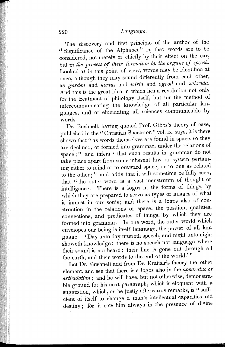The discovery and first principle of the author of the "Significance of the Alphabet" is, that words are to be considered, not merely or chiefly by their effect on the ear, but *in the process of their formation* by *the organs of speech.*  Looked at in this point of view, words may be identified at once, although they may sound differently from each other, as *garden* and *hortus* and *wirta* and *ogrod* and *zahrada.*  And this is the great idea in which lies a revolution not only for the treatment of philology itself, but for the method of intercommunicating the knowledge of all particular languages, and of elucidating all sciences communicable by words.

Dr. Bushnell, having quoted Prof. Gibbs's theory of case, published in the "Christian Spectator," vol. ix. says, it is there shown that " as words themselves are found in space, so they are declined, or formed into grammar, under the relations of. space;" and infers "that such results in grammar do not take place apart from some inherent law or system pertaining either to mind or to outward space, or to one as related to the other;" and adds that it will sometime be fully seen, that "the outer word is a vast menstruum of thought or intelligence. There is a logos in the forms of things, by which they are prepared to serve as types or images of what is inmost in our souls; and there is a logos also of construction in the relations of space, the position, qualities, connections, and predicates of things, by which they are formed into grammar. In one word, the outer world which envelopes our being is itself language, the power of all language. ' Day unto day uttereth speech, and night unto night showeth knowledge; there is no speech nor language where their sound is not heard; their line is gone out through all the earth, and their words to the end of the world.'"

Let Dr. Bushnell add from Dr. Kraitsir's theory the other element, and see that there is a logos also in the *apparatus of articulation;* and he will have, but not otherwise, demonstrable ground for his next paragraph, which is eloquent with a suggestion, which, as he justly afterwards remarks, is "sufficient of itself to change a man's intellectual capacities and destiny; for it sets him always in the presence of divine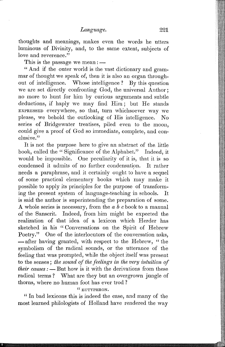thoughts and meanings, makes even the words he utters luminous of Divinity, and, to the same extent, subjects of love and reverence."

This is the passage we mean:  $-\frac{1}{2}$ 

"And if the outer world is the vast dictionary and grammar of thought we speak of, then it is also an organ throughout of intelligence. Whose intelligence? By this question we are set directly confronting God, the universal Author; no more to hunt for him by curious arguments and subtle deductions, if haply we may find Him; but He stands EXPRESSED everywhere, so that, turn whichsoever way we please, we behold the outlooking of His intelligence. No series of Bridgewater treatises, piled even to the moon, could give a proof of God so immediate, complete, and conclusive."

It is not the purpose here to give an abstract of the, little book, called the "Significance of the Alphabet." Indeed, it would be impossible. One peculiarity of it is, that it is so condensed it admits of no farther condensation. It rather needs a paraphrase, and it certainly ought to have a sequel of some practical elementary books which may make it possible to apply its principles for the purpose of transforming the present system of language-teaching in 8ehools. It is said the author is superintending the preparation of some. A whole series is necessary, from the *abc* book to a manual of the Sanscrit. Indeed, from him might be expected the realization of that idea of a lexicon which Herder has sketched in his "Conversations on the Spirit of Hebrew Poetry." One of the interlocutors of the conversation asks, - after having granted, with respect to the Hebrew, "the symbolism of the radical sounds, or the utterance of the feeling that was prompted, while the object itself was present to the senses; *the sound of the feelings in the very intuition of their causes:* - But how is it with the derivations from these radical terms? What are they but an overgrown jungle of thorns, where no human foot has ever trod?

# " EUTYPHRON.

" In bad lexicons this is indeed the case, and many of the most learned philologists of Holland have rendered the way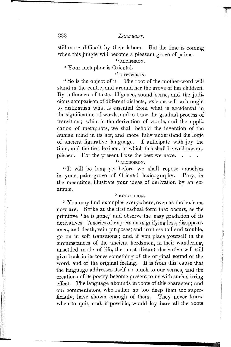still more difficult by their labors. But the time is coming when this jungle will become a pleasant grove of palms.

" ALCIPHRON.

" Your metaphor is Oriental.

" EUTYPHRON.

"So is the object of it. The root of the mother-word will stand in the centre, and around her the grove of her children. By influence of taste, diligence, sound sense, and the judicious comparison of different dialects, lexicons will be brought to distinguish what is essential from what is accidental in the signification of words, and to trace the gradual process of transition; while in the derivation of words, and the application of metaphors, we shall behold the invention of the human mind in its act, and more fully understand the logic of ancient figurative language. I anticipate with joy the time, and the first lexicon, in which this shall be well accomplished. For the present I use the best we have.

### " ALCIPHRON.

"It will be long yet before we shall repose ourselves in your. palm-grove of Oriental lexicography. Pray, in the meantime, illustrate your ideas of derivation by an example.

#### " EUTYPHRON.

" You may find examples everywhere, even as the lexicons now are. Strike at the first radical form that occurs, as the primitive 'he is gone,' and observe the easy gradation of its derivatives. A series of expressions signifying loss, disappearance, and death, vain purposes; and fruitless toil and trouble, go on in soft transitions; and, if you place yourself in the circumstances of the ancient herdsmen, in their wandering, unsettled mode of life, the most distant derivative will still give back in its tones something of the original sound of the word, and of the original feeling.. It is from this cause that the language addresses itself so much to our senses, and the creations of its poetry become present to us with such stirring effect. The language abounds in roots of this character; and our commentators, who rather go too deep than too superficially, have shown enough of them. They never know when to quit, and, if possible, would lay bare all the roots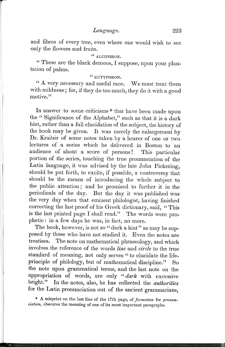and fibres of every tree, even where one would wish to see only the flowers and fruits.

# " ALOIPHRON.

" These are the black demons, I suppose, upon your plantation of palms.

# " EUTYPHRON.

" A very necessary and useful race. We must treat them with mildness; for, if they do too much, they do it with a good motive."

In answer to some criticisms \* that have been made upon the " Significance of the Alphabet," such as that it is a dark hint, rather than a full elucidation of the subject, the history of thc book may be given. It was merely the enlargement by Dr. Kraitsir of some notes taken by 'a hearer of one or two lectures of a series which he delivered in Boston to an audience of about a score of persons! This particular portion of the series, touching the true pronunciation of the Latin language, it was advised by the late John Pickering, should be put forth, to excite, if possible, a controversy that should be the means of introducing the whole subject to the public attention; and he promised to further it in the periodicals of the day. But the day it was published was the very day when that eminent philologist, having finished correcting the last proof of his Greek dictionary, said, "This is the last printed page I shall read." The words were prophetic: in a few days he was, in fact, no more.

The book, however, is not so "dark a hint" as may be supposed by those who have not studied it. Even the notes are treatises. The note on mathematical phraseology, and which involves the reference of the words *line* and *circle* to the true standard of meaning, not only serves " to elucidate the lifeprinciple of philology, but of mathematical discipline." So the note upon grammatical terms, and the last note on the appropriation of words, are only "dark with excessive bright." In the notes, also, he has collected the *authorities*  for the Latin pronunciation out of the ancient grammarians,

\* A misprint on the last line of the 17th page, of *formation* for *pronunciation*, obscures the meaning of one of its most important paragraphs.